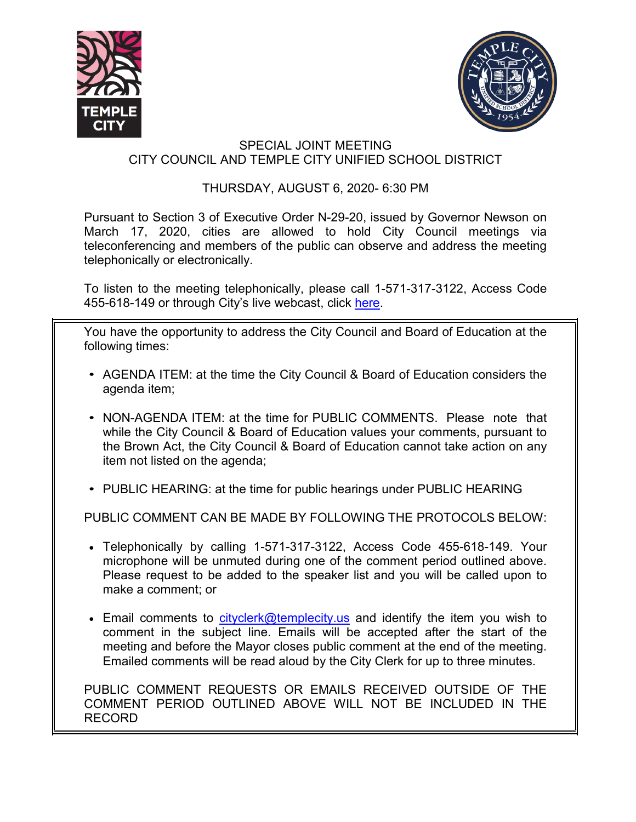



## SPECIAL JOINT MEETING CITY COUNCIL AND TEMPLE CITY UNIFIED SCHOOL DISTRICT

## THURSDAY, AUGUST 6, 2020- 6:30 PM

Pursuant to Section 3 of Executive Order N-29-20, issued by Governor Newson on March 17, 2020, cities are allowed to hold City Council meetings via teleconferencing and members of the public can observe and address the meeting telephonically or electronically.

To listen to the meeting telephonically, please call 1-571-317-3122, Access Code 455-618-149 or through City's live webcast, click [here.](https://www.ci.temple-city.ca.us/516/Meeting-Webcast)

You have the opportunity to address the City Council and Board of Education at the following times:

- AGENDA ITEM: at the time the City Council & Board of Education considers the agenda item;
- NON-AGENDA ITEM: at the time for PUBLIC COMMENTS. Please note that while the City Council & Board of Education values your comments, pursuant to the Brown Act, the City Council & Board of Education cannot take action on any item not listed on the agenda;
- PUBLIC HEARING: at the time for public hearings under PUBLIC HEARING

PUBLIC COMMENT CAN BE MADE BY FOLLOWING THE PROTOCOLS BELOW:

- Telephonically by calling 1-571-317-3122, Access Code 455-618-149. Your microphone will be unmuted during one of the comment period outlined above. Please request to be added to the speaker list and you will be called upon to make a comment; or
- Email comments to [cityclerk@templecity.us](mailto:cityclerk@templecity.us) and identify the item you wish to comment in the subject line. Emails will be accepted after the start of the meeting and before the Mayor closes public comment at the end of the meeting. Emailed comments will be read aloud by the City Clerk for up to three minutes.

PUBLIC COMMENT REQUESTS OR EMAILS RECEIVED OUTSIDE OF THE COMMENT PERIOD OUTLINED ABOVE WILL NOT BE INCLUDED IN THE RECORD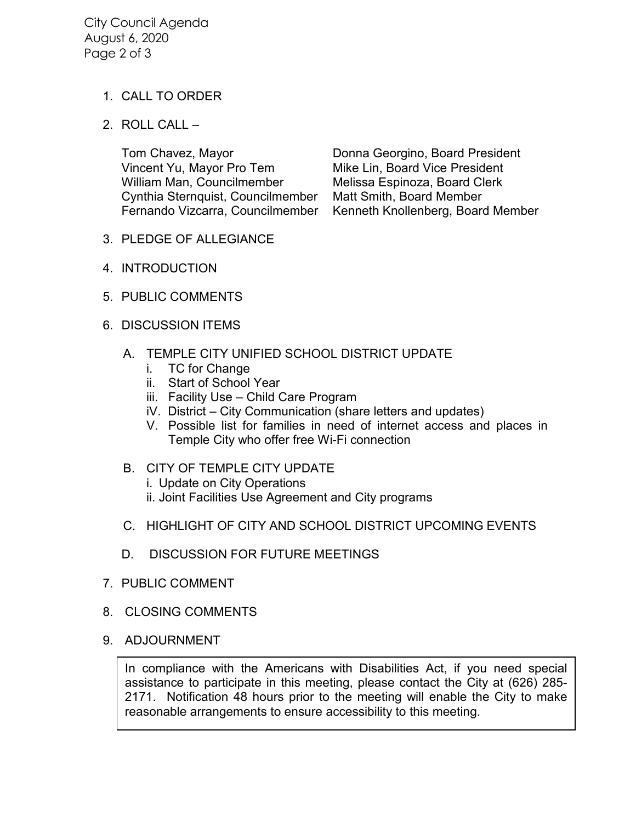City Council Agenda August 6, 2020 Page 2 of 3

## 1. CALL TO ORDER

2. ROLL CALL –

Vincent Yu, Mayor Pro Tem Mike Lin, Board Vice President William Man, Councilmember Melissa Espinoza, Board Clerk Cynthia Sternquist, Councilmember Matt Smith, Board Member

Tom Chavez, Mayor **National Contract Donna Georgino, Board President** Fernando Vizcarra, Councilmember Kenneth Knollenberg, Board Member

- 3. PLEDGE OF ALLEGIANCE
- 4. INTRODUCTION
- 5. PUBLIC COMMENTS
- 6. DISCUSSION ITEMS
	- A. TEMPLE CITY UNIFIED SCHOOL DISTRICT UPDATE
		- i. TC for Change
		- ii. Start of School Year
		- iii. Facility Use Child Care Program
		- iV. District City Communication (share letters and updates)
		- V. Possible list for families in need of internet access and places in Temple City who offer free Wi-Fi connection
	- B. CITY OF TEMPLE CITY UPDATE i. Update on City Operations
		- ii. Joint Facilities Use Agreement and City programs
	- C. HIGHLIGHT OF CITY AND SCHOOL DISTRICT UPCOMING EVENTS
	- D. DISCUSSION FOR FUTURE MEETINGS
- 7. PUBLIC COMMENT
- 8. CLOSING COMMENTS
- 9. ADJOURNMENT

In compliance with the Americans with Disabilities Act, if you need special assistance to participate in this meeting, please contact the City at (626) 285- 2171. Notification 48 hours prior to the meeting will enable the City to make reasonable arrangements to ensure accessibility to this meeting.